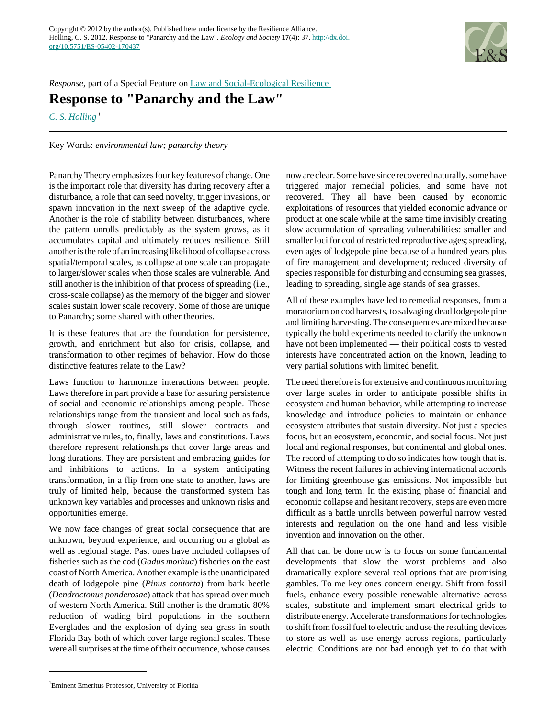

*Response*, part of a Special Feature on [Law and Social-Ecological Resilience](http://www.ecologyandsociety.org/viewissue.php?sf=78) 

## **Response to "Panarchy and the Law"**

*[C. S. Holling](mailto:holling@me.com)<sup>1</sup>*

Key Words: *environmental law; panarchy theory*

Panarchy Theory emphasizes four key features of change. One is the important role that diversity has during recovery after a disturbance, a role that can seed novelty, trigger invasions, or spawn innovation in the next sweep of the adaptive cycle. Another is the role of stability between disturbances, where the pattern unrolls predictably as the system grows, as it accumulates capital and ultimately reduces resilience. Still another is the role of an increasing likelihood of collapse across spatial/temporal scales, as collapse at one scale can propagate to larger/slower scales when those scales are vulnerable. And still another is the inhibition of that process of spreading (i.e., cross-scale collapse) as the memory of the bigger and slower scales sustain lower scale recovery. Some of those are unique to Panarchy; some shared with other theories.

It is these features that are the foundation for persistence, growth, and enrichment but also for crisis, collapse, and transformation to other regimes of behavior. How do those distinctive features relate to the Law?

Laws function to harmonize interactions between people. Laws therefore in part provide a base for assuring persistence of social and economic relationships among people. Those relationships range from the transient and local such as fads, through slower routines, still slower contracts and administrative rules, to, finally, laws and constitutions. Laws therefore represent relationships that cover large areas and long durations. They are persistent and embracing guides for and inhibitions to actions. In a system anticipating transformation, in a flip from one state to another, laws are truly of limited help, because the transformed system has unknown key variables and processes and unknown risks and opportunities emerge.

We now face changes of great social consequence that are unknown, beyond experience, and occurring on a global as well as regional stage. Past ones have included collapses of fisheries such as the cod (*Gadus morhua*) fisheries on the east coast of North America. Another example is the unanticipated death of lodgepole pine (*Pinus contorta*) from bark beetle (*Dendroctonus ponderosae*) attack that has spread over much of western North America. Still another is the dramatic 80% reduction of wading bird populations in the southern Everglades and the explosion of dying sea grass in south Florida Bay both of which cover large regional scales. These were all surprises at the time of their occurrence, whose causes

now are clear. Some have since recovered naturally, some have triggered major remedial policies, and some have not recovered. They all have been caused by economic exploitations of resources that yielded economic advance or product at one scale while at the same time invisibly creating slow accumulation of spreading vulnerabilities: smaller and smaller loci for cod of restricted reproductive ages; spreading, even ages of lodgepole pine because of a hundred years plus of fire management and development; reduced diversity of species responsible for disturbing and consuming sea grasses, leading to spreading, single age stands of sea grasses.

All of these examples have led to remedial responses, from a moratorium on cod harvests, to salvaging dead lodgepole pine and limiting harvesting. The consequences are mixed because typically the bold experiments needed to clarify the unknown have not been implemented — their political costs to vested interests have concentrated action on the known, leading to very partial solutions with limited benefit.

The need therefore is for extensive and continuous monitoring over large scales in order to anticipate possible shifts in ecosystem and human behavior, while attempting to increase knowledge and introduce policies to maintain or enhance ecosystem attributes that sustain diversity. Not just a species focus, but an ecosystem, economic, and social focus. Not just local and regional responses, but continental and global ones. The record of attempting to do so indicates how tough that is. Witness the recent failures in achieving international accords for limiting greenhouse gas emissions. Not impossible but tough and long term. In the existing phase of financial and economic collapse and hesitant recovery, steps are even more difficult as a battle unrolls between powerful narrow vested interests and regulation on the one hand and less visible invention and innovation on the other.

All that can be done now is to focus on some fundamental developments that slow the worst problems and also dramatically explore several real options that are promising gambles. To me key ones concern energy. Shift from fossil fuels, enhance every possible renewable alternative across scales, substitute and implement smart electrical grids to distribute energy. Accelerate transformations for technologies to shift from fossil fuel to electric and use the resulting devices to store as well as use energy across regions, particularly electric. Conditions are not bad enough yet to do that with

<sup>1</sup> Eminent Emeritus Professor, University of Florida